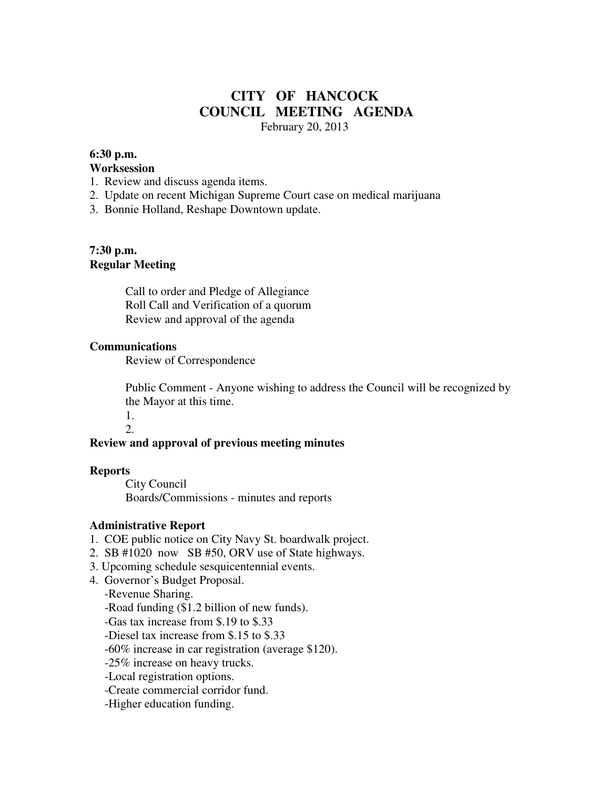# **CITY OF HANCOCK COUNCIL MEETING AGENDA**  February 20, 2013

## **6:30 p.m.**

#### **Worksession**

- 1. Review and discuss agenda items.
- 2. Update on recent Michigan Supreme Court case on medical marijuana
- 3. Bonnie Holland, Reshape Downtown update.

## **7:30 p.m. Regular Meeting**

 Call to order and Pledge of Allegiance Roll Call and Verification of a quorum Review and approval of the agenda

### **Communications**

Review of Correspondence

 Public Comment - Anyone wishing to address the Council will be recognized by the Mayor at this time.

 1. 2.

## **Review and approval of previous meeting minutes**

#### **Reports**

City Council Boards/Commissions - minutes and reports

## **Administrative Report**

- 1. COE public notice on City Navy St. boardwalk project.
- 2. SB #1020 now SB #50, ORV use of State highways.
- 3. Upcoming schedule sesquicentennial events.
- 4. Governor's Budget Proposal.

## -Revenue Sharing.

- -Road funding (\$1.2 billion of new funds).
- -Gas tax increase from \$.19 to \$.33
- -Diesel tax increase from \$.15 to \$.33
- -60% increase in car registration (average \$120).
- -25% increase on heavy trucks.
- -Local registration options.
- -Create commercial corridor fund.
- -Higher education funding.